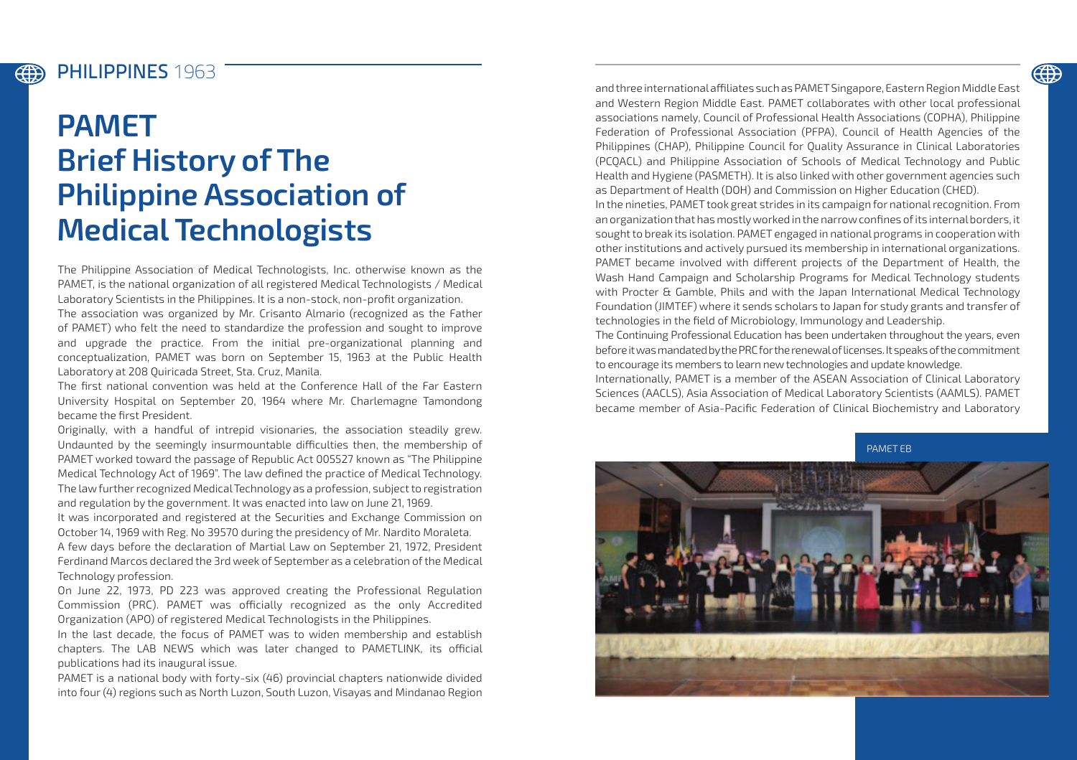## PHILIPPINES **1963**

**EEEE** 

## **PAMET Brief History of The Philippine Association of Medical Technologists**

The Philippine Association of Medical Technologists, Inc. otherwise known as the PAMET, is the national organization of all registered Medical Technologists / Medical Laboratory Scientists in the Philippines. It is a non-stock, non-profit organization.

The association was organized by Mr. Crisanto Almario (recognized as the Father of PAMET) who felt the need to standardize the profession and sought to improve and upgrade the practice. From the initial pre-organizational planning and conceptualization, PAMET was born on September 15, 1963 at the Public Health Laboratory at 208 Quiricada Street, Sta. Cruz, Manila.

The first national convention was held at the Conference Hall of the Far Eastern University Hospital on September 20, 1964 where Mr. Charlemagne Tamondong became the first President.

Originally, with a handful of intrepid visionaries, the association steadily grew. Undaunted by the seemingly insurmountable difficulties then, the membership of PAMET worked toward the passage of Republic Act 005527 known as "The Philippine Medical Technology Act of 1969". The law defined the practice of Medical Technology. The law further recognized Medical Technology as a profession, subject to registration and regulation by the government. It was enacted into law on June 21, 1969.

It was incorporated and registered at the Securities and Exchange Commission on October 14, 1969 with Reg. No 39570 during the presidency of Mr. Nardito Moraleta. A few days before the declaration of Martial Law on September 21, 1972, President Ferdinand Marcos declared the 3rd week of September as a celebration of the Medical Technology profession.

On June 22, 1973, PD 223 was approved creating the Professional Regulation Commission (PRC). PAMET was officially recognized as the only Accredited Organization (APO) of registered Medical Technologists in the Philippines.

In the last decade, the focus of PAMET was to widen membership and establish chapters. The LAB NEWS which was later changed to PAMETLINK, its official publications had its inaugural issue.

PAMET is a national body with forty-six (46) provincial chapters nationwide divided into four (4) regions such as North Luzon, South Luzon, Visayas and Mindanao Region and three international affiliates such as PAMET Singapore, Eastern Region Middle East and Western Region Middle East. PAMET collaborates with other local professional associations namely, Council of Professional Health Associations (COPHA), Philippine Federation of Professional Association (PFPA), Council of Health Agencies of the Philippines (CHAP), Philippine Council for Quality Assurance in Clinical Laboratories (PCQACL) and Philippine Association of Schools of Medical Technology and Public Health and Hygiene (PASMETH). It is also linked with other government agencies such as Department of Health (DOH) and Commission on Higher Education (CHED).

In the nineties, PAMET took great strides in its campaign for national recognition. From an organization that has mostly worked in the narrow confines of its internal borders, it sought to break its isolation. PAMET engaged in national programs in cooperation with other institutions and actively pursued its membership in international organizations. PAMET became involved with different projects of the Department of Health, the Wash Hand Campaign and Scholarship Programs for Medical Technology students with Procter & Gamble, Phils and with the Japan International Medical Technology Foundation (JIMTEF) where it sends scholars to Japan for study grants and transfer of technologies in the field of Microbiology, Immunology and Leadership.

The Continuing Professional Education has been undertaken throughout the years, even before it was mandated by the PRC for the renewal of licenses. It speaks of the commitment to encourage its members to learn new technologies and update knowledge.

Internationally, PAMET is a member of the ASEAN Association of Clinical Laboratory Sciences (AACLS), Asia Association of Medical Laboratory Scientists (AAMLS). PAMET became member of Asia-Pacific Federation of Clinical Biochemistry and Laboratory

PAMET EB